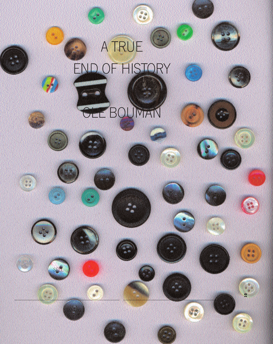